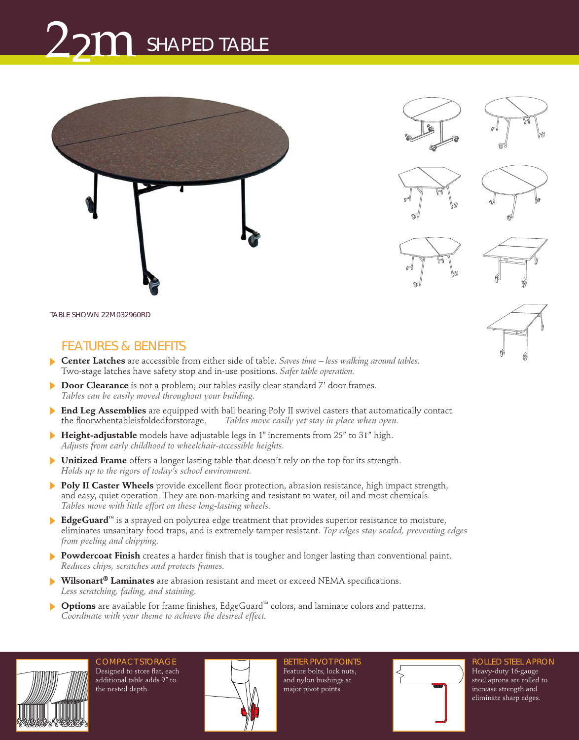## SHAPED TABLE 22m



*TABLE SHOWN* 22M032960RD

## FEATURES & BENEFITS

- **Center Latches** are accessible from either side of table. Saves time less walking around tables. Two-stage latches have safety stop and in-use positions. Safer table operation.
- **Door Clearance** is not a problem; our tables easily clear standard 7' door frames. ь Tables can be easily moved throughout your building.
- **End Leg Assemblies** are equipped with ball bearing Poly II swivel casters that automatically contact the floorwhentableisfoldedforstorage. Tables move easily yet stay in place when open.
- **Height-adjustable** models have adjustable legs in 1" increments from 25" to 31" high. Adjusts from early childhood to wheelchair-accessible heights.
- **Unitized Frame** offers a longer lasting table that doesn't rely on the top for its strength. Holds up to the rigors of today's school environment.
- **Poly II Caster Wheels** provide excellent floor protection, abrasion resistance, high impact strength, and easy, quiet operation. They are non-marking and resistant to water, oil and most chemicals. Tables move with little effort on these long-lasting wheels.
- **EdgeGuard™** is a sprayed on polyurea edge treatment that provides superior resistance to moisture, eliminates unsanitary food traps, and is extremely tamper resistant. Top edges stay sealed, preventing edges from peeling and chipping.
- **Powdercoat Finish** creates a harder finish that is tougher and longer lasting than conventional paint. Reduces chips, scratches and protects frames.
- **Wilsonart<sup>®</sup> Laminates** are abrasion resistant and meet or exceed NEMA specifications. Less scratching, fading, and staining.
- **Options** are available for frame finishes, EdgeGuard™ colors, and laminate colors and patterns. Coordinate with your theme to achieve the desired effect.



COMPACT STORAGE Designed to store flat, each additional table adds 9" to the nested depth.



BETTER PIVOT POINTS Feature bolts, lock nuts, and nylon bushings at major pivot points.



ROLLED STEEL APRON Heavy-duty 16-gauge steel aprons are rolled to increase strength and eliminate sharp edges.